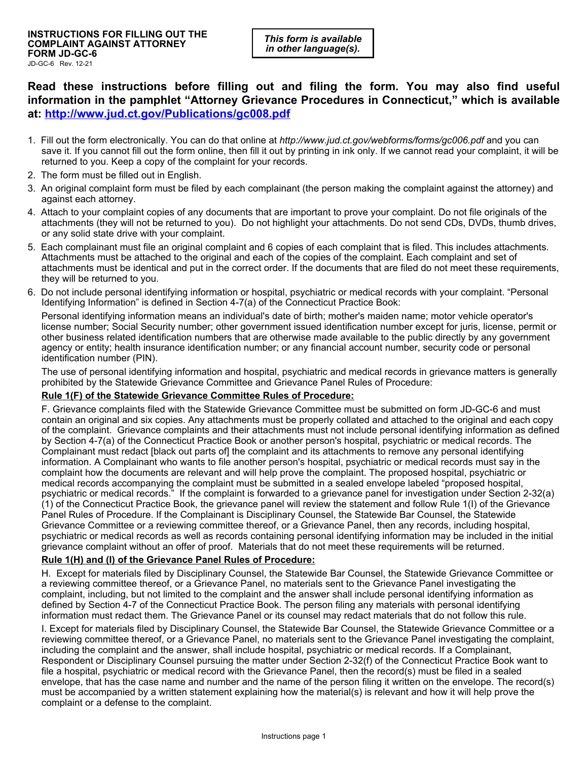**Read these instructions before filling out and filing the form. You may also find useful information in the pamphlet "Attorney Grievance Procedures in Connecticut," which is available at: http://www.jud.ct.gov/Publications/gc008.pdf**

- 1. Fill out the form electronically. You can do that online at *http://www.jud.ct.gov/webforms/forms/gc006.pdf* and you can save it. If you cannot fill out the form online, then fill it out by printing in ink only. If we cannot read your complaint, it will be returned to you. Keep a copy of the complaint for your records.
- 2. The form must be filled out in English.
- 3. An original complaint form must be filed by each complainant (the person making the complaint against the attorney) and against each attorney.
- 4. Attach to your complaint copies of any documents that are important to prove your complaint. Do not file originals of the attachments (they will not be returned to you). Do not highlight your attachments. Do not send CDs, DVDs, thumb drives, or any solid state drive with your complaint.
- 5. Each complainant must file an original complaint and 6 copies of each complaint that is filed. This includes attachments. Attachments must be attached to the original and each of the copies of the complaint. Each complaint and set of attachments must be identical and put in the correct order. If the documents that are filed do not meet these requirements, they will be returned to you.
- 6. Do not include personal identifying information or hospital, psychiatric or medical records with your complaint. "Personal Identifying Information" is defined in Section 4-7(a) of the Connecticut Practice Book:

Personal identifying information means an individual's date of birth; mother's maiden name; motor vehicle operator's license number; Social Security number; other government issued identification number except for juris, license, permit or other business related identification numbers that are otherwise made available to the public directly by any government agency or entity; health insurance identification number; or any financial account number, security code or personal identification number (PIN).

The use of personal identifying information and hospital, psychiatric and medical records in grievance matters is generally prohibited by the Statewide Grievance Committee and Grievance Panel Rules of Procedure:

## **Rule 1(F) of the Statewide Grievance Committee Rules of Procedure:**

F. Grievance complaints filed with the Statewide Grievance Committee must be submitted on form JD-GC-6 and must contain an original and six copies. Any attachments must be properly collated and attached to the original and each copy of the complaint. Grievance complaints and their attachments must not include personal identifying information as defined by Section 4-7(a) of the Connecticut Practice Book or another person's hospital, psychiatric or medical records. The Complainant must redact [black out parts of] the complaint and its attachments to remove any personal identifying information. A Complainant who wants to file another person's hospital, psychiatric or medical records must say in the complaint how the documents are relevant and will help prove the complaint. The proposed hospital, psychiatric or medical records accompanying the complaint must be submitted in a sealed envelope labeled "proposed hospital, psychiatric or medical records." If the complaint is forwarded to a grievance panel for investigation under Section 2-32(a) (1) of the Connecticut Practice Book, the grievance panel will review the statement and follow Rule 1(I) of the Grievance Panel Rules of Procedure. If the Complainant is Disciplinary Counsel, the Statewide Bar Counsel, the Statewide Grievance Committee or a reviewing committee thereof, or a Grievance Panel, then any records, including hospital, psychiatric or medical records as well as records containing personal identifying information may be included in the initial grievance complaint without an offer of proof. Materials that do not meet these requirements will be returned.

## **Rule 1(H) and (I) of the Grievance Panel Rules of Procedure:**

H. Except for materials filed by Disciplinary Counsel, the Statewide Bar Counsel, the Statewide Grievance Committee or a reviewing committee thereof, or a Grievance Panel, no materials sent to the Grievance Panel investigating the complaint, including, but not limited to the complaint and the answer shall include personal identifying information as defined by Section 4-7 of the Connecticut Practice Book. The person filing any materials with personal identifying information must redact them. The Grievance Panel or its counsel may redact materials that do not follow this rule.

I. Except for materials filed by Disciplinary Counsel, the Statewide Bar Counsel, the Statewide Grievance Committee or a reviewing committee thereof, or a Grievance Panel, no materials sent to the Grievance Panel investigating the complaint, including the complaint and the answer, shall include hospital, psychiatric or medical records. If a Complainant, Respondent or Disciplinary Counsel pursuing the matter under Section 2-32(f) of the Connecticut Practice Book want to file a hospital, psychiatric or medical record with the Grievance Panel, then the record(s) must be filed in a sealed envelope, that has the case name and number and the name of the person filing it written on the envelope. The record(s) must be accompanied by a written statement explaining how the material(s) is relevant and how it will help prove the complaint or a defense to the complaint.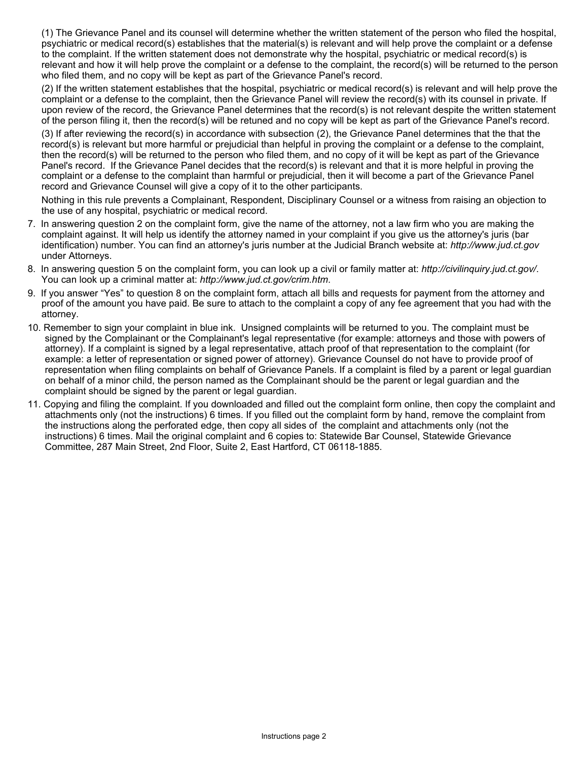(1) The Grievance Panel and its counsel will determine whether the written statement of the person who filed the hospital, psychiatric or medical record(s) establishes that the material(s) is relevant and will help prove the complaint or a defense to the complaint. If the written statement does not demonstrate why the hospital, psychiatric or medical record(s) is relevant and how it will help prove the complaint or a defense to the complaint, the record(s) will be returned to the person who filed them, and no copy will be kept as part of the Grievance Panel's record.

(2) If the written statement establishes that the hospital, psychiatric or medical record(s) is relevant and will help prove the complaint or a defense to the complaint, then the Grievance Panel will review the record(s) with its counsel in private. If upon review of the record, the Grievance Panel determines that the record(s) is not relevant despite the written statement of the person filing it, then the record(s) will be retuned and no copy will be kept as part of the Grievance Panel's record.

(3) If after reviewing the record(s) in accordance with subsection (2), the Grievance Panel determines that the that the record(s) is relevant but more harmful or prejudicial than helpful in proving the complaint or a defense to the complaint, then the record(s) will be returned to the person who filed them, and no copy of it will be kept as part of the Grievance Panel's record. If the Grievance Panel decides that the record(s) is relevant and that it is more helpful in proving the complaint or a defense to the complaint than harmful or prejudicial, then it will become a part of the Grievance Panel record and Grievance Counsel will give a copy of it to the other participants.

Nothing in this rule prevents a Complainant, Respondent, Disciplinary Counsel or a witness from raising an objection to the use of any hospital, psychiatric or medical record.

- 7. In answering question 2 on the complaint form, give the name of the attorney, not a law firm who you are making the complaint against. It will help us identify the attorney named in your complaint if you give us the attorney's juris (bar identification) number. You can find an attorney's juris number at the Judicial Branch website at: *http://www.jud.ct.gov* under Attorneys.
- 8. In answering question 5 on the complaint form, you can look up a civil or family matter at: *http://civilinquiry.jud.ct.gov/*. You can look up a criminal matter at: *http://www.jud.ct.gov/crim.htm*.
- 9. If you answer "Yes" to question 8 on the complaint form, attach all bills and requests for payment from the attorney and proof of the amount you have paid. Be sure to attach to the complaint a copy of any fee agreement that you had with the attorney.
- 10. Remember to sign your complaint in blue ink. Unsigned complaints will be returned to you. The complaint must be signed by the Complainant or the Complainant's legal representative (for example: attorneys and those with powers of attorney). If a complaint is signed by a legal representative, attach proof of that representation to the complaint (for example: a letter of representation or signed power of attorney). Grievance Counsel do not have to provide proof of representation when filing complaints on behalf of Grievance Panels. If a complaint is filed by a parent or legal guardian on behalf of a minor child, the person named as the Complainant should be the parent or legal guardian and the complaint should be signed by the parent or legal guardian.
- 11. Copying and filing the complaint. If you downloaded and filled out the complaint form online, then copy the complaint and attachments only (not the instructions) 6 times. If you filled out the complaint form by hand, remove the complaint from the instructions along the perforated edge, then copy all sides of the complaint and attachments only (not the instructions) 6 times. Mail the original complaint and 6 copies to: Statewide Bar Counsel, Statewide Grievance Committee, 287 Main Street, 2nd Floor, Suite 2, East Hartford, CT 06118-1885.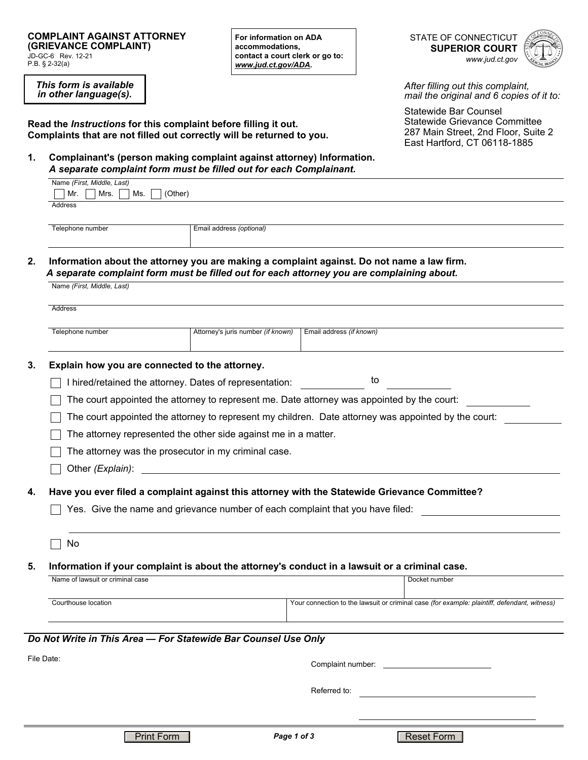*This form is available in other language(s).*

**For information on ADA accommodations, contact a court clerk or go to:**  *www.jud.ct.gov/ADA.*

STATE OF CONNECTICUT **SUPERIOR COURT**  *www.jud.ct.gov*



*After filling out this complaint, mail the original and 6 copies of it to:* 

Statewide Bar Counsel Statewide Grievance Committee 287 Main Street, 2nd Floor, Suite 2 East Hartford, CT 06118-1885

**Read the** *Instructions* **for this complaint before filling it out. Complaints that are not filled out correctly will be returned to you.**

**1. Complainant's (person making complaint against attorney) Information.** *A separate complaint form must be filled out for each Complainant.*

| Name (First, Middle, Last)               |                          |  |  |
|------------------------------------------|--------------------------|--|--|
| $Mrs. \Box Ms.$<br>$\Box$ Mr.<br>(Other) |                          |  |  |
| Address                                  |                          |  |  |
|                                          |                          |  |  |
|                                          |                          |  |  |
| Telephone number                         | Email address (optional) |  |  |
|                                          |                          |  |  |

**2. Information about the attorney you are making a complaint against. Do not name a law firm.** *A separate complaint form must be filled out for each attorney you are complaining about.*

| Address                                                                                                                                                                 |                                                                                                                                                                                 |  |  |  |  |  |
|-------------------------------------------------------------------------------------------------------------------------------------------------------------------------|---------------------------------------------------------------------------------------------------------------------------------------------------------------------------------|--|--|--|--|--|
| Telephone number                                                                                                                                                        | Attorney's juris number (if known)<br>Email address (if known)                                                                                                                  |  |  |  |  |  |
| Explain how you are connected to the attorney.                                                                                                                          |                                                                                                                                                                                 |  |  |  |  |  |
|                                                                                                                                                                         | to<br>I hired/retained the attorney. Dates of representation:                                                                                                                   |  |  |  |  |  |
|                                                                                                                                                                         | The court appointed the attorney to represent me. Date attorney was appointed by the court:                                                                                     |  |  |  |  |  |
| The court appointed the attorney to represent my children. Date attorney was appointed by the court:<br>The attorney represented the other side against me in a matter. |                                                                                                                                                                                 |  |  |  |  |  |
|                                                                                                                                                                         |                                                                                                                                                                                 |  |  |  |  |  |
|                                                                                                                                                                         |                                                                                                                                                                                 |  |  |  |  |  |
|                                                                                                                                                                         | Have you ever filed a complaint against this attorney with the Statewide Grievance Committee?<br>Yes. Give the name and grievance number of each complaint that you have filed: |  |  |  |  |  |
| No                                                                                                                                                                      |                                                                                                                                                                                 |  |  |  |  |  |
|                                                                                                                                                                         | Information if your complaint is about the attorney's conduct in a lawsuit or a criminal case.                                                                                  |  |  |  |  |  |
| Name of lawsuit or criminal case                                                                                                                                        | Docket number                                                                                                                                                                   |  |  |  |  |  |
| Courthouse location                                                                                                                                                     | Your connection to the lawsuit or criminal case (for example: plaintiff, defendant, witness)                                                                                    |  |  |  |  |  |
|                                                                                                                                                                         | Do Not Write in This Area - For Statewide Bar Counsel Use Only                                                                                                                  |  |  |  |  |  |
| File Date:                                                                                                                                                              |                                                                                                                                                                                 |  |  |  |  |  |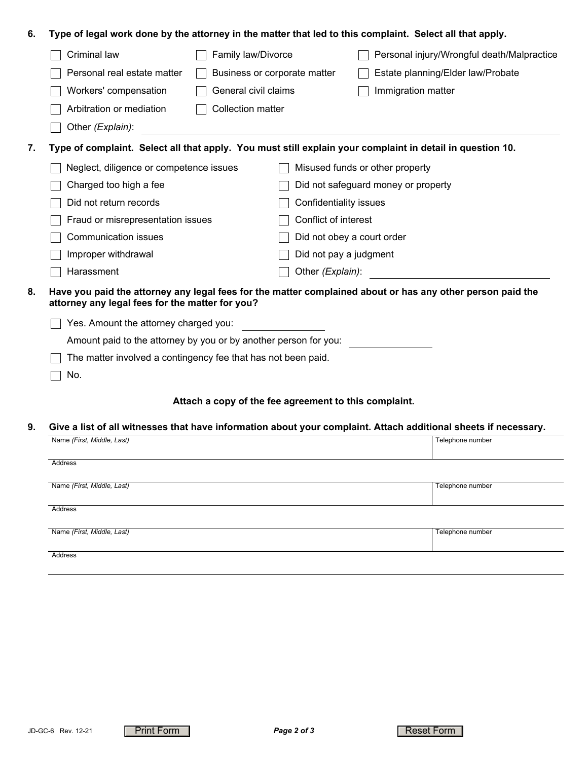| Criminal law<br>Family law/Divorce<br>Personal injury/Wrongful death/Malpractice<br>Personal real estate matter<br>Estate planning/Elder law/Probate<br>Business or corporate matter<br>Workers' compensation<br>General civil claims<br>Immigration matter<br>Arbitration or mediation<br><b>Collection matter</b><br>Other (Explain):<br>Type of complaint. Select all that apply. You must still explain your complaint in detail in question 10.<br>Neglect, diligence or competence issues<br>Misused funds or other property<br>Charged too high a fee<br>Did not safeguard money or property<br>Did not return records<br>Confidentiality issues<br>Conflict of interest<br>Fraud or misrepresentation issues<br><b>Communication issues</b><br>Did not obey a court order<br>Improper withdrawal<br>Did not pay a judgment<br>Harassment<br>Other (Explain):<br>Have you paid the attorney any legal fees for the matter complained about or has any other person paid the<br>attorney any legal fees for the matter for you?<br>Yes. Amount the attorney charged you:<br>Amount paid to the attorney by you or by another person for you:<br>The matter involved a contingency fee that has not been paid.<br>No.<br>Attach a copy of the fee agreement to this complaint.<br>Give a list of all witnesses that have information about your complaint. Attach additional sheets if necessary.<br>Name (First, Middle, Last)<br>Telephone number | 6. | Type of legal work done by the attorney in the matter that led to this complaint. Select all that apply. |  |  |  |  |  |  |  |
|----------------------------------------------------------------------------------------------------------------------------------------------------------------------------------------------------------------------------------------------------------------------------------------------------------------------------------------------------------------------------------------------------------------------------------------------------------------------------------------------------------------------------------------------------------------------------------------------------------------------------------------------------------------------------------------------------------------------------------------------------------------------------------------------------------------------------------------------------------------------------------------------------------------------------------------------------------------------------------------------------------------------------------------------------------------------------------------------------------------------------------------------------------------------------------------------------------------------------------------------------------------------------------------------------------------------------------------------------------------------------------------------------------------------------------------------------------|----|----------------------------------------------------------------------------------------------------------|--|--|--|--|--|--|--|
|                                                                                                                                                                                                                                                                                                                                                                                                                                                                                                                                                                                                                                                                                                                                                                                                                                                                                                                                                                                                                                                                                                                                                                                                                                                                                                                                                                                                                                                          |    |                                                                                                          |  |  |  |  |  |  |  |
|                                                                                                                                                                                                                                                                                                                                                                                                                                                                                                                                                                                                                                                                                                                                                                                                                                                                                                                                                                                                                                                                                                                                                                                                                                                                                                                                                                                                                                                          |    |                                                                                                          |  |  |  |  |  |  |  |
| 7.                                                                                                                                                                                                                                                                                                                                                                                                                                                                                                                                                                                                                                                                                                                                                                                                                                                                                                                                                                                                                                                                                                                                                                                                                                                                                                                                                                                                                                                       |    |                                                                                                          |  |  |  |  |  |  |  |
|                                                                                                                                                                                                                                                                                                                                                                                                                                                                                                                                                                                                                                                                                                                                                                                                                                                                                                                                                                                                                                                                                                                                                                                                                                                                                                                                                                                                                                                          |    |                                                                                                          |  |  |  |  |  |  |  |
|                                                                                                                                                                                                                                                                                                                                                                                                                                                                                                                                                                                                                                                                                                                                                                                                                                                                                                                                                                                                                                                                                                                                                                                                                                                                                                                                                                                                                                                          |    |                                                                                                          |  |  |  |  |  |  |  |
|                                                                                                                                                                                                                                                                                                                                                                                                                                                                                                                                                                                                                                                                                                                                                                                                                                                                                                                                                                                                                                                                                                                                                                                                                                                                                                                                                                                                                                                          |    |                                                                                                          |  |  |  |  |  |  |  |
|                                                                                                                                                                                                                                                                                                                                                                                                                                                                                                                                                                                                                                                                                                                                                                                                                                                                                                                                                                                                                                                                                                                                                                                                                                                                                                                                                                                                                                                          |    |                                                                                                          |  |  |  |  |  |  |  |
|                                                                                                                                                                                                                                                                                                                                                                                                                                                                                                                                                                                                                                                                                                                                                                                                                                                                                                                                                                                                                                                                                                                                                                                                                                                                                                                                                                                                                                                          |    |                                                                                                          |  |  |  |  |  |  |  |
| 8.<br>9.                                                                                                                                                                                                                                                                                                                                                                                                                                                                                                                                                                                                                                                                                                                                                                                                                                                                                                                                                                                                                                                                                                                                                                                                                                                                                                                                                                                                                                                 |    |                                                                                                          |  |  |  |  |  |  |  |
|                                                                                                                                                                                                                                                                                                                                                                                                                                                                                                                                                                                                                                                                                                                                                                                                                                                                                                                                                                                                                                                                                                                                                                                                                                                                                                                                                                                                                                                          |    |                                                                                                          |  |  |  |  |  |  |  |
|                                                                                                                                                                                                                                                                                                                                                                                                                                                                                                                                                                                                                                                                                                                                                                                                                                                                                                                                                                                                                                                                                                                                                                                                                                                                                                                                                                                                                                                          |    |                                                                                                          |  |  |  |  |  |  |  |
|                                                                                                                                                                                                                                                                                                                                                                                                                                                                                                                                                                                                                                                                                                                                                                                                                                                                                                                                                                                                                                                                                                                                                                                                                                                                                                                                                                                                                                                          |    |                                                                                                          |  |  |  |  |  |  |  |
|                                                                                                                                                                                                                                                                                                                                                                                                                                                                                                                                                                                                                                                                                                                                                                                                                                                                                                                                                                                                                                                                                                                                                                                                                                                                                                                                                                                                                                                          |    |                                                                                                          |  |  |  |  |  |  |  |
|                                                                                                                                                                                                                                                                                                                                                                                                                                                                                                                                                                                                                                                                                                                                                                                                                                                                                                                                                                                                                                                                                                                                                                                                                                                                                                                                                                                                                                                          |    |                                                                                                          |  |  |  |  |  |  |  |
|                                                                                                                                                                                                                                                                                                                                                                                                                                                                                                                                                                                                                                                                                                                                                                                                                                                                                                                                                                                                                                                                                                                                                                                                                                                                                                                                                                                                                                                          |    |                                                                                                          |  |  |  |  |  |  |  |
|                                                                                                                                                                                                                                                                                                                                                                                                                                                                                                                                                                                                                                                                                                                                                                                                                                                                                                                                                                                                                                                                                                                                                                                                                                                                                                                                                                                                                                                          |    |                                                                                                          |  |  |  |  |  |  |  |
|                                                                                                                                                                                                                                                                                                                                                                                                                                                                                                                                                                                                                                                                                                                                                                                                                                                                                                                                                                                                                                                                                                                                                                                                                                                                                                                                                                                                                                                          |    |                                                                                                          |  |  |  |  |  |  |  |
|                                                                                                                                                                                                                                                                                                                                                                                                                                                                                                                                                                                                                                                                                                                                                                                                                                                                                                                                                                                                                                                                                                                                                                                                                                                                                                                                                                                                                                                          |    |                                                                                                          |  |  |  |  |  |  |  |
|                                                                                                                                                                                                                                                                                                                                                                                                                                                                                                                                                                                                                                                                                                                                                                                                                                                                                                                                                                                                                                                                                                                                                                                                                                                                                                                                                                                                                                                          |    |                                                                                                          |  |  |  |  |  |  |  |
|                                                                                                                                                                                                                                                                                                                                                                                                                                                                                                                                                                                                                                                                                                                                                                                                                                                                                                                                                                                                                                                                                                                                                                                                                                                                                                                                                                                                                                                          |    |                                                                                                          |  |  |  |  |  |  |  |
|                                                                                                                                                                                                                                                                                                                                                                                                                                                                                                                                                                                                                                                                                                                                                                                                                                                                                                                                                                                                                                                                                                                                                                                                                                                                                                                                                                                                                                                          |    |                                                                                                          |  |  |  |  |  |  |  |

| Address                    |                  |
|----------------------------|------------------|
|                            |                  |
| Name (First, Middle, Last) | Telephone number |
|                            |                  |
| Address                    |                  |
|                            |                  |
| Name (First, Middle, Last) | Telephone number |
|                            |                  |
| Address                    |                  |